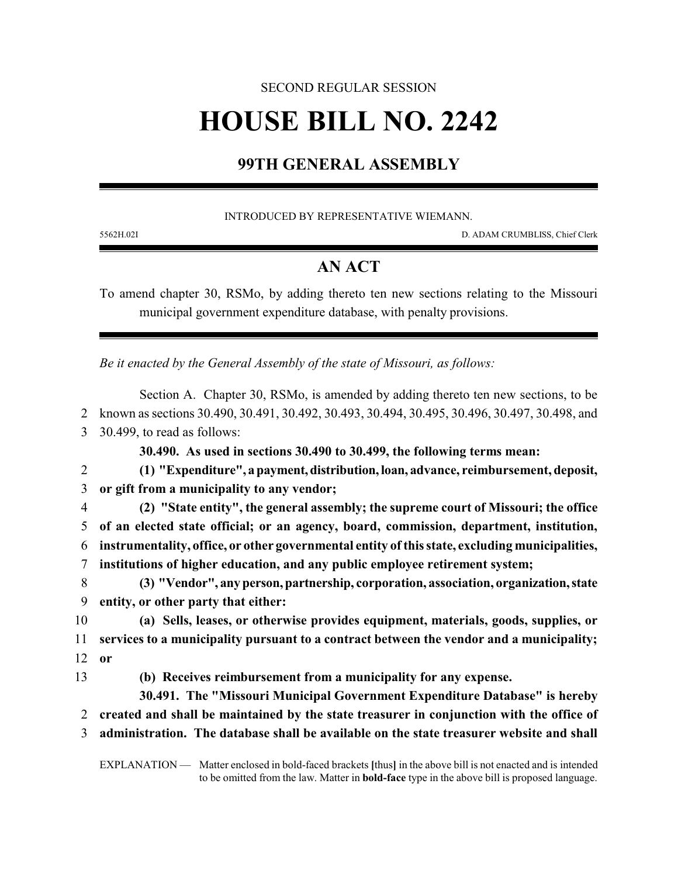## SECOND REGULAR SESSION

# **HOUSE BILL NO. 2242**

### **99TH GENERAL ASSEMBLY**

#### INTRODUCED BY REPRESENTATIVE WIEMANN.

5562H.02I D. ADAM CRUMBLISS, Chief Clerk

### **AN ACT**

To amend chapter 30, RSMo, by adding thereto ten new sections relating to the Missouri municipal government expenditure database, with penalty provisions.

*Be it enacted by the General Assembly of the state of Missouri, as follows:*

|                | Section A. Chapter 30, RSMo, is amended by adding thereto ten new sections, to be                            |
|----------------|--------------------------------------------------------------------------------------------------------------|
| 2              | known as sections 30.490, 30.491, 30.492, 30.493, 30.494, 30.495, 30.496, 30.497, 30.498, and                |
| 3              | 30.499, to read as follows:                                                                                  |
|                | 30.490. As used in sections 30.490 to 30.499, the following terms mean:                                      |
| 2              | (1) "Expenditure", a payment, distribution, loan, advance, reimbursement, deposit,                           |
| 3              | or gift from a municipality to any vendor;                                                                   |
| $\overline{4}$ | (2) "State entity", the general assembly; the supreme court of Missouri; the office                          |
| 5              | of an elected state official; or an agency, board, commission, department, institution,                      |
| 6              | instrumentality, office, or other governmental entity of this state, excluding municipalities,               |
| 7              | institutions of higher education, and any public employee retirement system;                                 |
| 8              | (3) "Vendor", any person, partnership, corporation, association, organization, state                         |
| 9              | entity, or other party that either:                                                                          |
| 10             | (a) Sells, leases, or otherwise provides equipment, materials, goods, supplies, or                           |
| 11             | services to a municipality pursuant to a contract between the vendor and a municipality;                     |
| 12             | <b>or</b>                                                                                                    |
| 13             | (b) Receives reimbursement from a municipality for any expense.                                              |
|                | 30.491. The "Missouri Municipal Government Expenditure Database" is hereby                                   |
| 2              | created and shall be maintained by the state treasurer in conjunction with the office of                     |
| 3              | administration. The database shall be available on the state treasurer website and shall                     |
|                | EXPLANATION — Matter enclosed in bold-faced brackets [thus] in the above bill is not enacted and is intended |

to be omitted from the law. Matter in **bold-face** type in the above bill is proposed language.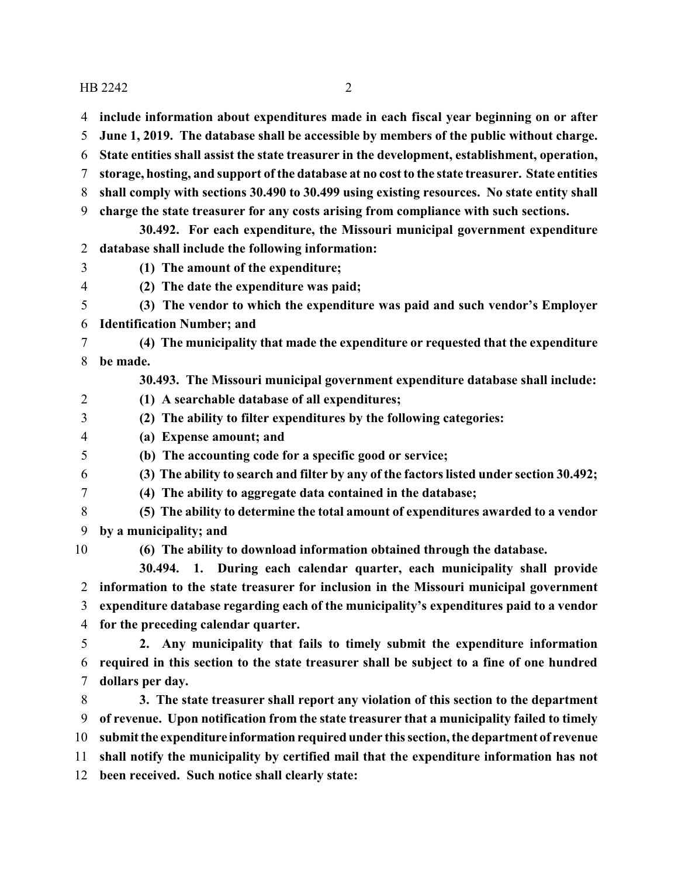HB 2242 2

- **include information about expenditures made in each fiscal year beginning on or after**
- **June 1, 2019. The database shall be accessible by members of the public without charge.**
- **State entities shall assist the state treasurer in the development, establishment, operation,**
- **storage, hosting, and support of the database at no cost to the state treasurer. State entities**
- **shall comply with sections 30.490 to 30.499 using existing resources. No state entity shall**
- **charge the state treasurer for any costs arising from compliance with such sections.**
- **30.492. For each expenditure, the Missouri municipal government expenditure database shall include the following information:**
- **(1) The amount of the expenditure;**
- **(2) The date the expenditure was paid;**
- **(3) The vendor to which the expenditure was paid and such vendor's Employer Identification Number; and**
- **(4) The municipality that made the expenditure or requested that the expenditure be made.**
	- **30.493. The Missouri municipal government expenditure database shall include:**
- **(1) A searchable database of all expenditures;**
- **(2) The ability to filter expenditures by the following categories:**
- **(a) Expense amount; and**
- **(b) The accounting code for a specific good or service;**
- **(3) The ability to search and filter by any of the factors listed under section 30.492;**
- 
- **(4) The ability to aggregate data contained in the database;**
- **(5) The ability to determine the total amount of expenditures awarded to a vendor by a municipality; and**
- 

**(6) The ability to download information obtained through the database.**

**30.494. 1. During each calendar quarter, each municipality shall provide information to the state treasurer for inclusion in the Missouri municipal government expenditure database regarding each of the municipality's expenditures paid to a vendor for the preceding calendar quarter.**

 **2. Any municipality that fails to timely submit the expenditure information required in this section to the state treasurer shall be subject to a fine of one hundred dollars per day.**

 **3. The state treasurer shall report any violation of this section to the department of revenue. Upon notification from the state treasurer that a municipality failed to timely submit the expenditure information required under this section, the department of revenue shall notify the municipality by certified mail that the expenditure information has not been received. Such notice shall clearly state:**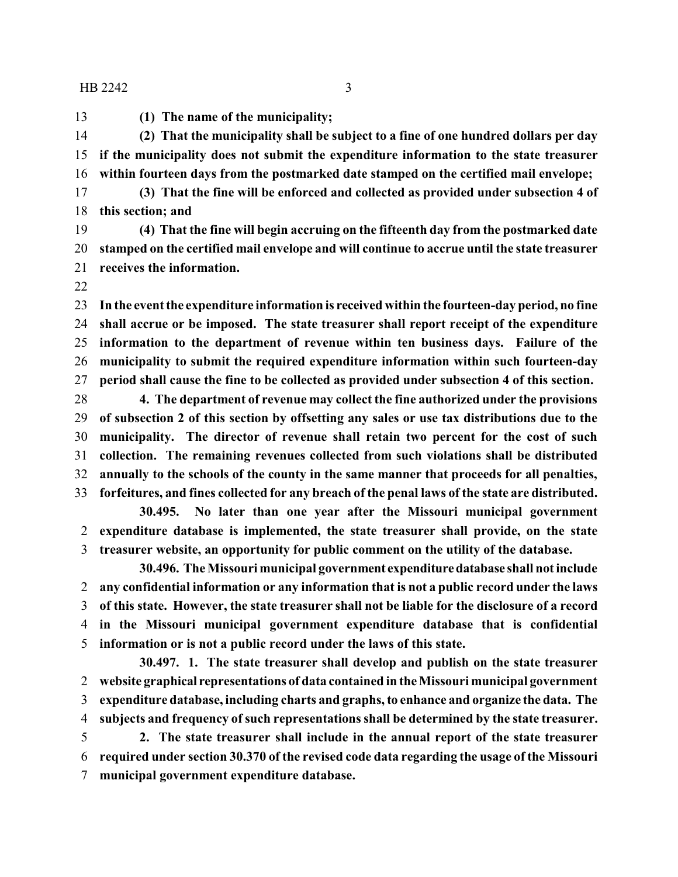$HB 2242$  3

**(1) The name of the municipality;**

 **(2) That the municipality shall be subject to a fine of one hundred dollars per day if the municipality does not submit the expenditure information to the state treasurer within fourteen days from the postmarked date stamped on the certified mail envelope;**

 **(3) That the fine will be enforced and collected as provided under subsection 4 of this section; and**

 **(4) That the fine will begin accruing on the fifteenth day from the postmarked date stamped on the certified mail envelope and will continue to accrue until the state treasurer receives the information.**

 **In the event the expenditure information is received within the fourteen-day period, no fine shall accrue or be imposed. The state treasurer shall report receipt of the expenditure information to the department of revenue within ten business days. Failure of the municipality to submit the required expenditure information within such fourteen-day period shall cause the fine to be collected as provided under subsection 4 of this section.**

 **4. The department of revenue may collect the fine authorized under the provisions of subsection 2 of this section by offsetting any sales or use tax distributions due to the municipality. The director of revenue shall retain two percent for the cost of such collection. The remaining revenues collected from such violations shall be distributed annually to the schools of the county in the same manner that proceeds for all penalties, forfeitures, and fines collected for any breach of the penal laws of the state are distributed.**

**30.495. No later than one year after the Missouri municipal government expenditure database is implemented, the state treasurer shall provide, on the state treasurer website, an opportunity for public comment on the utility of the database.**

**30.496. The Missouri municipal government expendituredatabase shall not include any confidential information or any information that is not a public record under the laws of this state. However, the state treasurer shall not be liable for the disclosure of a record in the Missouri municipal government expenditure database that is confidential information or is not a public record under the laws of this state.**

**30.497. 1. The state treasurer shall develop and publish on the state treasurer website graphical representations of data contained in the Missouri municipal government expenditure database, including charts and graphs, to enhance and organize the data. The subjects and frequency of such representations shall be determined by the state treasurer.**

 **2. The state treasurer shall include in the annual report of the state treasurer required under section 30.370 of the revised code data regarding the usage of the Missouri municipal government expenditure database.**